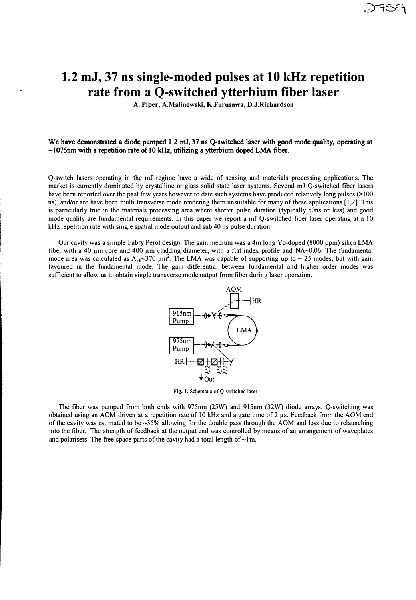## **1.2 mJ, 37 ns single-moded pulses at 10 kHz repetition rate from a Q-switched ytterbium fiber laser**

**A. Piper, A.Malinowski, K.Furusawa, D.J.Richardson**

## We have demonstrated a diode pumped 1.2 mJ, 37 ns Q-switched laser with good mode quality, operating at  $\sim$ 1075nm with a repetition rate of 10 kHz, utilizing a ytterbium doped LMA fiber.

Q-switch lasers operating in the mJ regime have a wide of sensing and materials processing applications. The market is currently dominated by crystalline or glass solid state laser systems. Several mJ Q-switched fiber lasers have been reported over the past few years however to date such systems have produced relatively long pulses (>100 ns), and/or are have been multi transverse mode rendering them unsuitable for many of these applications [1,2]. This is particularly true in the materials processing area where shorter pulse duration (typically 50ns or less) and good mode quality are fundamental requirements. In this paper we report a mJ Q-switched fiber laser operating at a 10 kHz repetition rate with single spatial mode output and sub 40 ns pulse duration.

Our cavity was a simple Fabry Perot design. The gain medium was a 4m long Yb-doped (8000 ppm) silica LMA fiber with a 40  $\mu$ m core and 400  $\mu$ m cladding diameter, with a flat index profile and NA $\sim$ 0.06. The fundamental mode area was calculated as  $A_{\text{eff}}$  370  $\mu$ m<sup>2</sup>. The LMA was capable of supporting up to ~ 25 modes, but with gain favoured in the fundamental mode. The gain differential between fundamental and higher order modes was sufficient to allow us to obtain single transverse mode output from fiber during laser operation.



**Fig. 1.** Schematic of Q-switched laser

The fiber was pumped from both ends with 975nm (25W) and 915nm (32W) diode arrays. Q-switching was obtained using an AOM driven at a repetition rate of 10 kHz and a gate time of 2 µs. Feedback from the AOM end of the cavity was estimated to be -35% allowing for the double pass through the AOM and loss due to relaunching into the fiber. The strength of feedback at the output end was controlled by means of an arrangement of waveplates and polarisers. The free-space parts of the cavity had a total length of  $\sim$ 1m.